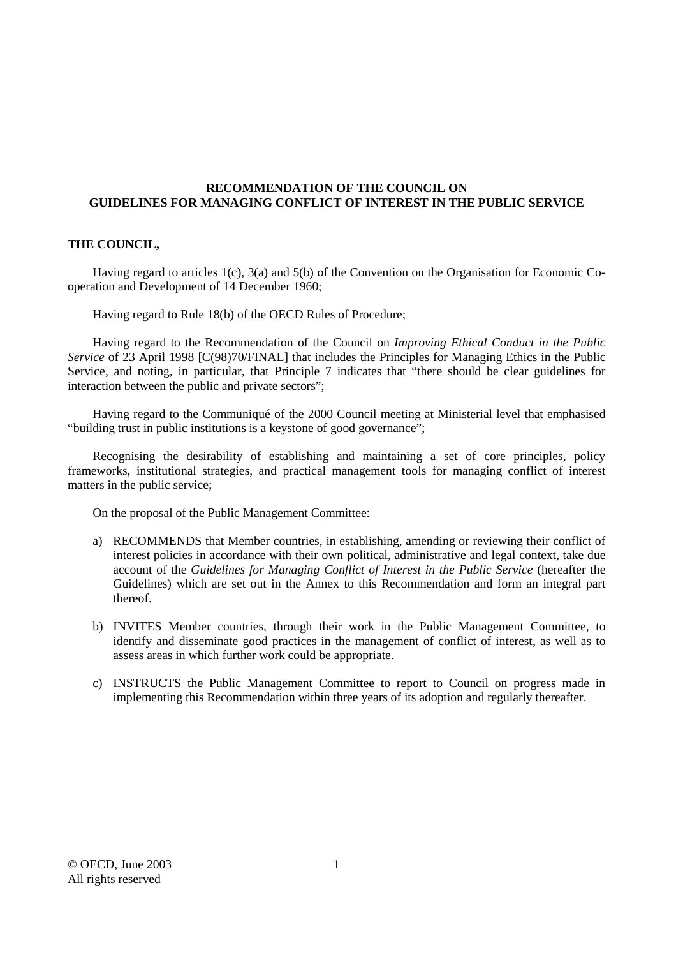#### **RECOMMENDATION OF THE COUNCIL ON GUIDELINES FOR MANAGING CONFLICT OF INTEREST IN THE PUBLIC SERVICE**

#### **THE COUNCIL,**

Having regard to articles 1(c), 3(a) and 5(b) of the Convention on the Organisation for Economic Cooperation and Development of 14 December 1960;

Having regard to Rule 18(b) of the OECD Rules of Procedure;

Having regard to the Recommendation of the Council on *Improving Ethical Conduct in the Public Service* of 23 April 1998 [C(98)70/FINAL] that includes the Principles for Managing Ethics in the Public Service, and noting, in particular, that Principle 7 indicates that "there should be clear guidelines for interaction between the public and private sectors";

Having regard to the Communiqué of the 2000 Council meeting at Ministerial level that emphasised "building trust in public institutions is a keystone of good governance";

Recognising the desirability of establishing and maintaining a set of core principles, policy frameworks, institutional strategies, and practical management tools for managing conflict of interest matters in the public service;

On the proposal of the Public Management Committee:

- a) RECOMMENDS that Member countries, in establishing, amending or reviewing their conflict of interest policies in accordance with their own political, administrative and legal context, take due account of the *Guidelines for Managing Conflict of Interest in the Public Service* (hereafter the Guidelines) which are set out in the Annex to this Recommendation and form an integral part thereof.
- b) INVITES Member countries, through their work in the Public Management Committee, to identify and disseminate good practices in the management of conflict of interest, as well as to assess areas in which further work could be appropriate.
- c) INSTRUCTS the Public Management Committee to report to Council on progress made in implementing this Recommendation within three years of its adoption and regularly thereafter.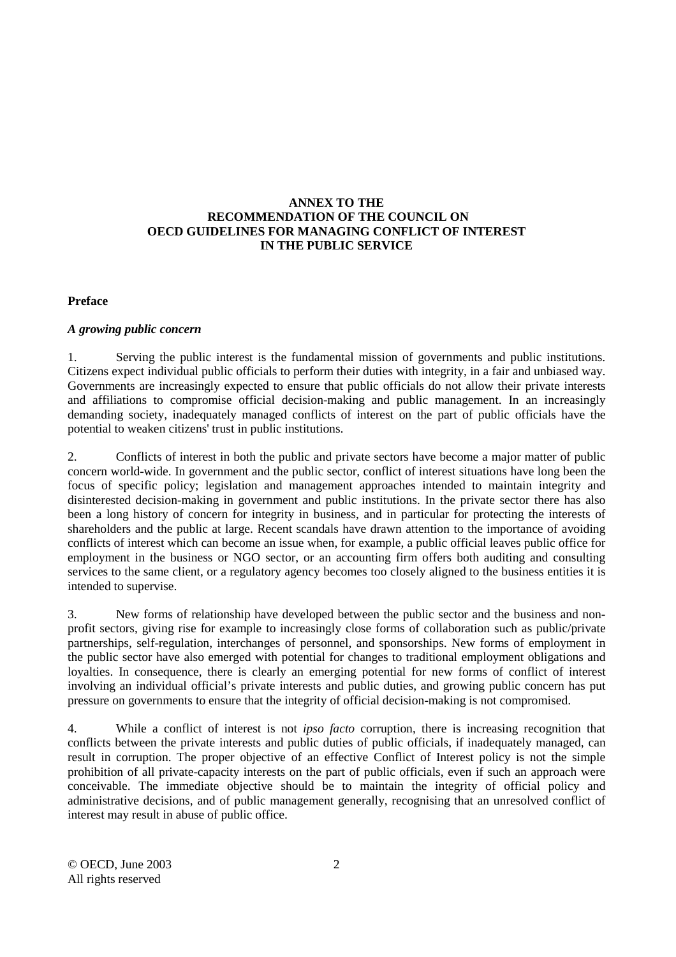### **ANNEX TO THE RECOMMENDATION OF THE COUNCIL ON OECD GUIDELINES FOR MANAGING CONFLICT OF INTEREST IN THE PUBLIC SERVICE**

#### **Preface**

#### *A growing public concern*

1. Serving the public interest is the fundamental mission of governments and public institutions. Citizens expect individual public officials to perform their duties with integrity, in a fair and unbiased way. Governments are increasingly expected to ensure that public officials do not allow their private interests and affiliations to compromise official decision-making and public management. In an increasingly demanding society, inadequately managed conflicts of interest on the part of public officials have the potential to weaken citizens' trust in public institutions.

2. Conflicts of interest in both the public and private sectors have become a major matter of public concern world-wide. In government and the public sector, conflict of interest situations have long been the focus of specific policy; legislation and management approaches intended to maintain integrity and disinterested decision-making in government and public institutions. In the private sector there has also been a long history of concern for integrity in business, and in particular for protecting the interests of shareholders and the public at large. Recent scandals have drawn attention to the importance of avoiding conflicts of interest which can become an issue when, for example, a public official leaves public office for employment in the business or NGO sector, or an accounting firm offers both auditing and consulting services to the same client, or a regulatory agency becomes too closely aligned to the business entities it is intended to supervise.

3. New forms of relationship have developed between the public sector and the business and nonprofit sectors, giving rise for example to increasingly close forms of collaboration such as public/private partnerships, self-regulation, interchanges of personnel, and sponsorships. New forms of employment in the public sector have also emerged with potential for changes to traditional employment obligations and loyalties. In consequence, there is clearly an emerging potential for new forms of conflict of interest involving an individual official's private interests and public duties, and growing public concern has put pressure on governments to ensure that the integrity of official decision-making is not compromised.

4. While a conflict of interest is not *ipso facto* corruption, there is increasing recognition that conflicts between the private interests and public duties of public officials, if inadequately managed, can result in corruption. The proper objective of an effective Conflict of Interest policy is not the simple prohibition of all private-capacity interests on the part of public officials, even if such an approach were conceivable. The immediate objective should be to maintain the integrity of official policy and administrative decisions, and of public management generally, recognising that an unresolved conflict of interest may result in abuse of public office.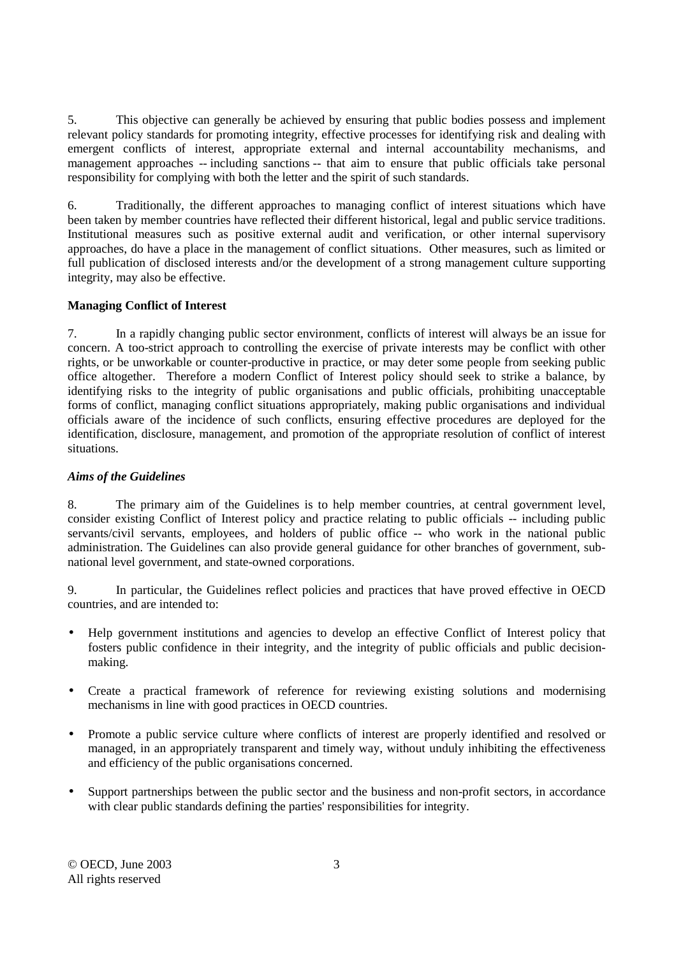5. This objective can generally be achieved by ensuring that public bodies possess and implement relevant policy standards for promoting integrity, effective processes for identifying risk and dealing with emergent conflicts of interest, appropriate external and internal accountability mechanisms, and management approaches -- including sanctions -- that aim to ensure that public officials take personal responsibility for complying with both the letter and the spirit of such standards.

6. Traditionally, the different approaches to managing conflict of interest situations which have been taken by member countries have reflected their different historical, legal and public service traditions. Institutional measures such as positive external audit and verification, or other internal supervisory approaches, do have a place in the management of conflict situations. Other measures, such as limited or full publication of disclosed interests and/or the development of a strong management culture supporting integrity, may also be effective.

## **Managing Conflict of Interest**

7. In a rapidly changing public sector environment, conflicts of interest will always be an issue for concern. A too-strict approach to controlling the exercise of private interests may be conflict with other rights, or be unworkable or counter-productive in practice, or may deter some people from seeking public office altogether. Therefore a modern Conflict of Interest policy should seek to strike a balance, by identifying risks to the integrity of public organisations and public officials, prohibiting unacceptable forms of conflict, managing conflict situations appropriately, making public organisations and individual officials aware of the incidence of such conflicts, ensuring effective procedures are deployed for the identification, disclosure, management, and promotion of the appropriate resolution of conflict of interest situations.

### *Aims of the Guidelines*

8. The primary aim of the Guidelines is to help member countries, at central government level, consider existing Conflict of Interest policy and practice relating to public officials -- including public servants/civil servants, employees, and holders of public office -- who work in the national public administration. The Guidelines can also provide general guidance for other branches of government, subnational level government, and state-owned corporations.

9. In particular, the Guidelines reflect policies and practices that have proved effective in OECD countries, and are intended to:

- Help government institutions and agencies to develop an effective Conflict of Interest policy that fosters public confidence in their integrity, and the integrity of public officials and public decisionmaking.
- Create a practical framework of reference for reviewing existing solutions and modernising mechanisms in line with good practices in OECD countries.
- Promote a public service culture where conflicts of interest are properly identified and resolved or managed, in an appropriately transparent and timely way, without unduly inhibiting the effectiveness and efficiency of the public organisations concerned.
- Support partnerships between the public sector and the business and non-profit sectors, in accordance with clear public standards defining the parties' responsibilities for integrity.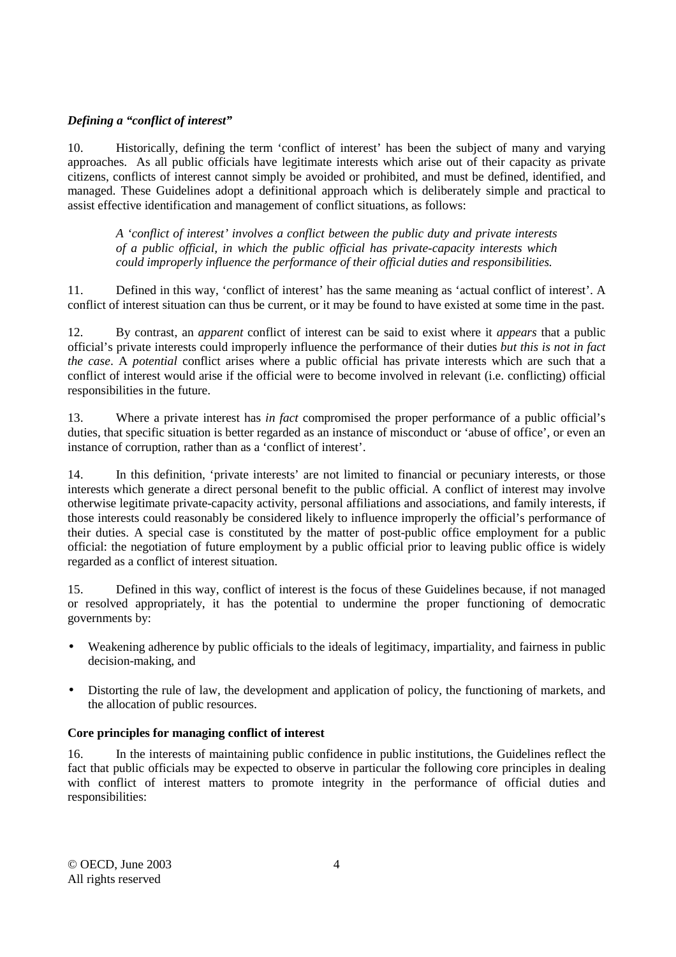## *Defining a "conflict of interest"*

10. Historically, defining the term 'conflict of interest' has been the subject of many and varying approaches. As all public officials have legitimate interests which arise out of their capacity as private citizens, conflicts of interest cannot simply be avoided or prohibited, and must be defined, identified, and managed. These Guidelines adopt a definitional approach which is deliberately simple and practical to assist effective identification and management of conflict situations, as follows:

*A 'conflict of interest' involves a conflict between the public duty and private interests of a public official, in which the public official has private-capacity interests which could improperly influence the performance of their official duties and responsibilities.* 

11. Defined in this way, 'conflict of interest' has the same meaning as 'actual conflict of interest'. A conflict of interest situation can thus be current, or it may be found to have existed at some time in the past.

12. By contrast, an *apparent* conflict of interest can be said to exist where it *appears* that a public official's private interests could improperly influence the performance of their duties *but this is not in fact the case*. A *potential* conflict arises where a public official has private interests which are such that a conflict of interest would arise if the official were to become involved in relevant (i.e. conflicting) official responsibilities in the future.

13. Where a private interest has *in fact* compromised the proper performance of a public official's duties, that specific situation is better regarded as an instance of misconduct or 'abuse of office', or even an instance of corruption, rather than as a 'conflict of interest'.

14. In this definition, 'private interests' are not limited to financial or pecuniary interests, or those interests which generate a direct personal benefit to the public official. A conflict of interest may involve otherwise legitimate private-capacity activity, personal affiliations and associations, and family interests, if those interests could reasonably be considered likely to influence improperly the official's performance of their duties. A special case is constituted by the matter of post-public office employment for a public official: the negotiation of future employment by a public official prior to leaving public office is widely regarded as a conflict of interest situation.

15. Defined in this way, conflict of interest is the focus of these Guidelines because, if not managed or resolved appropriately, it has the potential to undermine the proper functioning of democratic governments by:

- Weakening adherence by public officials to the ideals of legitimacy, impartiality, and fairness in public decision-making, and
- Distorting the rule of law, the development and application of policy, the functioning of markets, and the allocation of public resources.

#### **Core principles for managing conflict of interest**

16. In the interests of maintaining public confidence in public institutions, the Guidelines reflect the fact that public officials may be expected to observe in particular the following core principles in dealing with conflict of interest matters to promote integrity in the performance of official duties and responsibilities: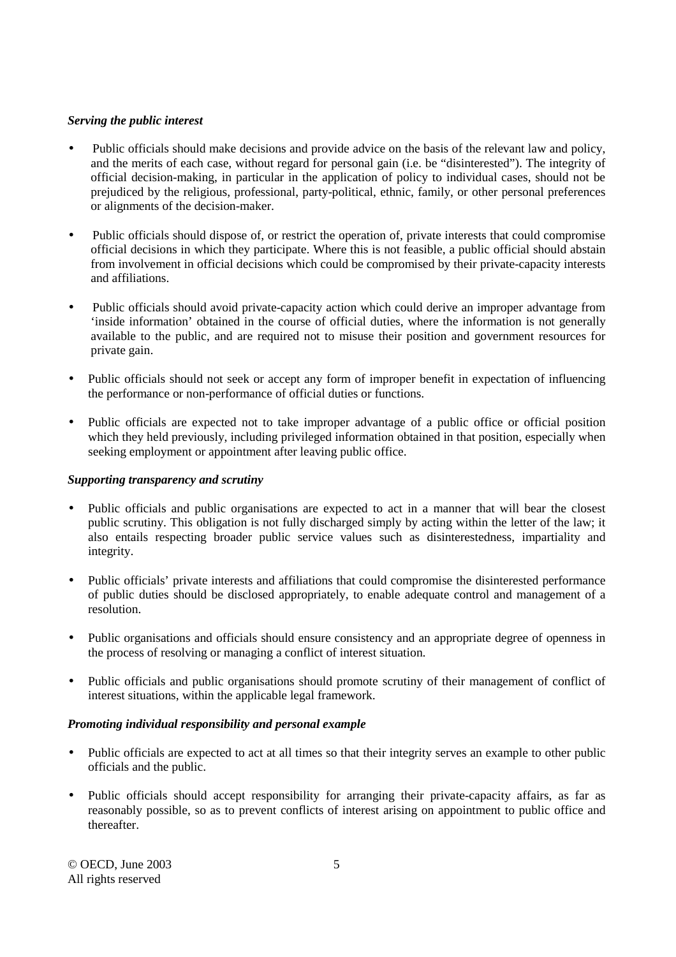## *Serving the public interest*

- Public officials should make decisions and provide advice on the basis of the relevant law and policy, and the merits of each case, without regard for personal gain (i.e. be "disinterested"). The integrity of official decision-making, in particular in the application of policy to individual cases, should not be prejudiced by the religious, professional, party-political, ethnic, family, or other personal preferences or alignments of the decision-maker.
- Public officials should dispose of, or restrict the operation of, private interests that could compromise official decisions in which they participate. Where this is not feasible, a public official should abstain from involvement in official decisions which could be compromised by their private-capacity interests and affiliations.
- Public officials should avoid private-capacity action which could derive an improper advantage from 'inside information' obtained in the course of official duties, where the information is not generally available to the public, and are required not to misuse their position and government resources for private gain.
- Public officials should not seek or accept any form of improper benefit in expectation of influencing the performance or non-performance of official duties or functions.
- Public officials are expected not to take improper advantage of a public office or official position which they held previously, including privileged information obtained in that position, especially when seeking employment or appointment after leaving public office.

#### *Supporting transparency and scrutiny*

- Public officials and public organisations are expected to act in a manner that will bear the closest public scrutiny. This obligation is not fully discharged simply by acting within the letter of the law; it also entails respecting broader public service values such as disinterestedness, impartiality and integrity.
- Public officials' private interests and affiliations that could compromise the disinterested performance of public duties should be disclosed appropriately, to enable adequate control and management of a resolution.
- Public organisations and officials should ensure consistency and an appropriate degree of openness in the process of resolving or managing a conflict of interest situation.
- Public officials and public organisations should promote scrutiny of their management of conflict of interest situations, within the applicable legal framework.

#### *Promoting individual responsibility and personal example*

- Public officials are expected to act at all times so that their integrity serves an example to other public officials and the public.
- Public officials should accept responsibility for arranging their private-capacity affairs, as far as reasonably possible, so as to prevent conflicts of interest arising on appointment to public office and thereafter.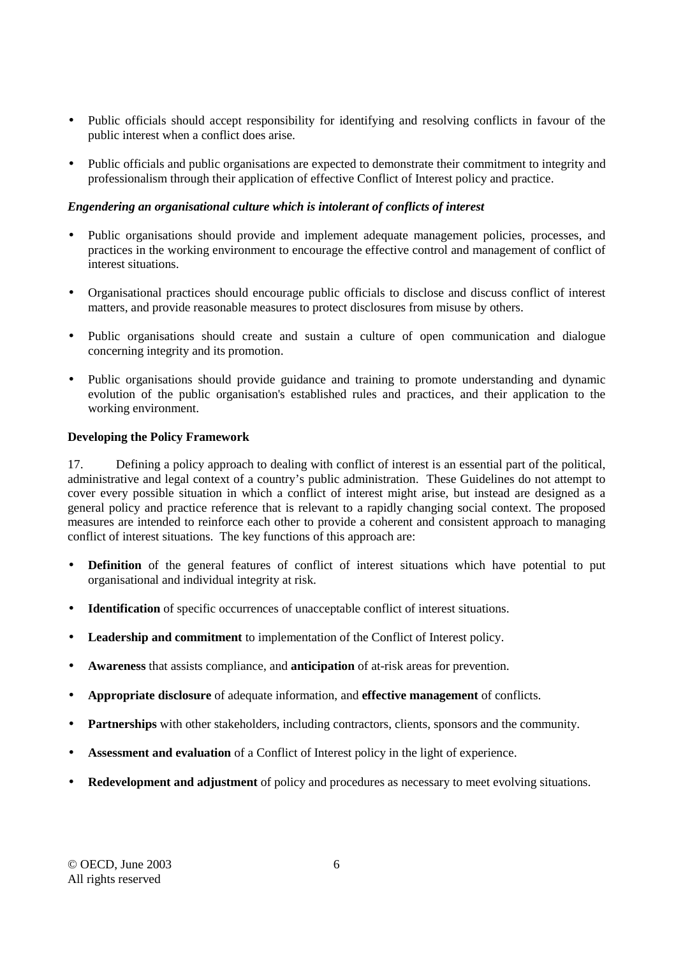- Public officials should accept responsibility for identifying and resolving conflicts in favour of the public interest when a conflict does arise.
- Public officials and public organisations are expected to demonstrate their commitment to integrity and professionalism through their application of effective Conflict of Interest policy and practice.

## *Engendering an organisational culture which is intolerant of conflicts of interest*

- Public organisations should provide and implement adequate management policies, processes, and practices in the working environment to encourage the effective control and management of conflict of interest situations.
- Organisational practices should encourage public officials to disclose and discuss conflict of interest matters, and provide reasonable measures to protect disclosures from misuse by others.
- Public organisations should create and sustain a culture of open communication and dialogue concerning integrity and its promotion.
- Public organisations should provide guidance and training to promote understanding and dynamic evolution of the public organisation's established rules and practices, and their application to the working environment.

## **Developing the Policy Framework**

17. Defining a policy approach to dealing with conflict of interest is an essential part of the political, administrative and legal context of a country's public administration. These Guidelines do not attempt to cover every possible situation in which a conflict of interest might arise, but instead are designed as a general policy and practice reference that is relevant to a rapidly changing social context. The proposed measures are intended to reinforce each other to provide a coherent and consistent approach to managing conflict of interest situations. The key functions of this approach are:

- **Definition** of the general features of conflict of interest situations which have potential to put organisational and individual integrity at risk.
- **Identification** of specific occurrences of unacceptable conflict of interest situations.
- **Leadership and commitment** to implementation of the Conflict of Interest policy.
- **Awareness** that assists compliance, and **anticipation** of at-risk areas for prevention.
- **Appropriate disclosure** of adequate information, and **effective management** of conflicts.
- **Partnerships** with other stakeholders, including contractors, clients, sponsors and the community.
- **Assessment and evaluation** of a Conflict of Interest policy in the light of experience.
- **Redevelopment and adjustment** of policy and procedures as necessary to meet evolving situations.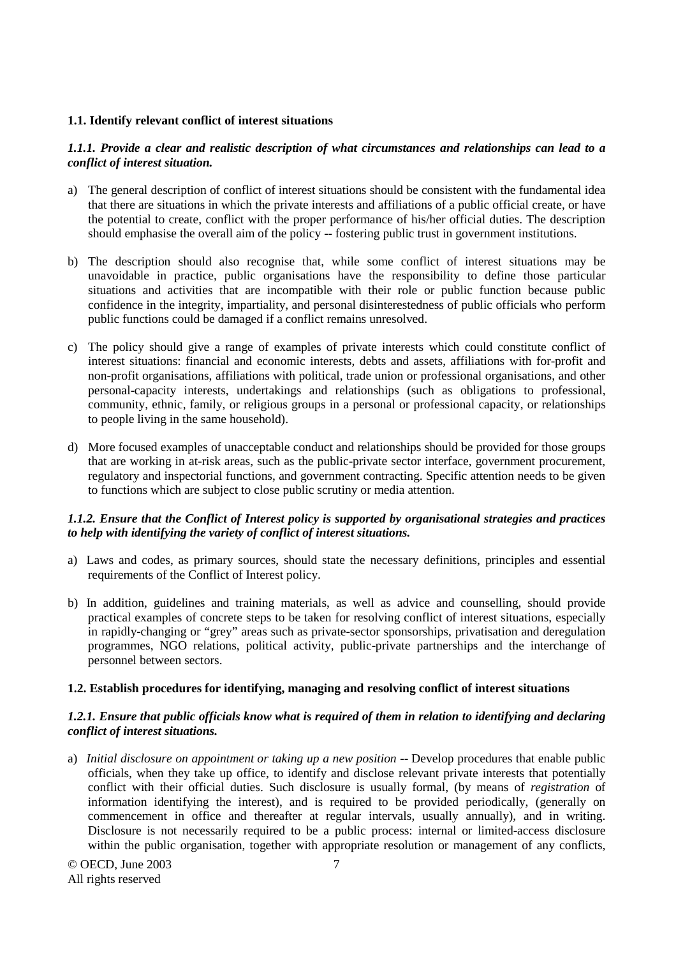### **1.1. Identify relevant conflict of interest situations**

## *1.1.1. Provide a clear and realistic description of what circumstances and relationships can lead to a conflict of interest situation.*

- a) The general description of conflict of interest situations should be consistent with the fundamental idea that there are situations in which the private interests and affiliations of a public official create, or have the potential to create, conflict with the proper performance of his/her official duties. The description should emphasise the overall aim of the policy -- fostering public trust in government institutions.
- b) The description should also recognise that, while some conflict of interest situations may be unavoidable in practice, public organisations have the responsibility to define those particular situations and activities that are incompatible with their role or public function because public confidence in the integrity, impartiality, and personal disinterestedness of public officials who perform public functions could be damaged if a conflict remains unresolved.
- c) The policy should give a range of examples of private interests which could constitute conflict of interest situations: financial and economic interests, debts and assets, affiliations with for-profit and non-profit organisations, affiliations with political, trade union or professional organisations, and other personal-capacity interests, undertakings and relationships (such as obligations to professional, community, ethnic, family, or religious groups in a personal or professional capacity, or relationships to people living in the same household).
- d) More focused examples of unacceptable conduct and relationships should be provided for those groups that are working in at-risk areas, such as the public-private sector interface, government procurement, regulatory and inspectorial functions, and government contracting. Specific attention needs to be given to functions which are subject to close public scrutiny or media attention.

## *1.1.2. Ensure that the Conflict of Interest policy is supported by organisational strategies and practices to help with identifying the variety of conflict of interest situations.*

- a) Laws and codes, as primary sources, should state the necessary definitions, principles and essential requirements of the Conflict of Interest policy.
- b) In addition, guidelines and training materials, as well as advice and counselling, should provide practical examples of concrete steps to be taken for resolving conflict of interest situations, especially in rapidly-changing or "grey" areas such as private-sector sponsorships, privatisation and deregulation programmes, NGO relations, political activity, public-private partnerships and the interchange of personnel between sectors.

# **1.2. Establish procedures for identifying, managing and resolving conflict of interest situations**

## *1.2.1. Ensure that public officials know what is required of them in relation to identifying and declaring conflict of interest situations.*

a) *Initial disclosure on appointment or taking up a new position* -- Develop procedures that enable public officials, when they take up office, to identify and disclose relevant private interests that potentially conflict with their official duties. Such disclosure is usually formal, (by means of *registration* of information identifying the interest), and is required to be provided periodically, (generally on commencement in office and thereafter at regular intervals, usually annually), and in writing. Disclosure is not necessarily required to be a public process: internal or limited-access disclosure within the public organisation, together with appropriate resolution or management of any conflicts,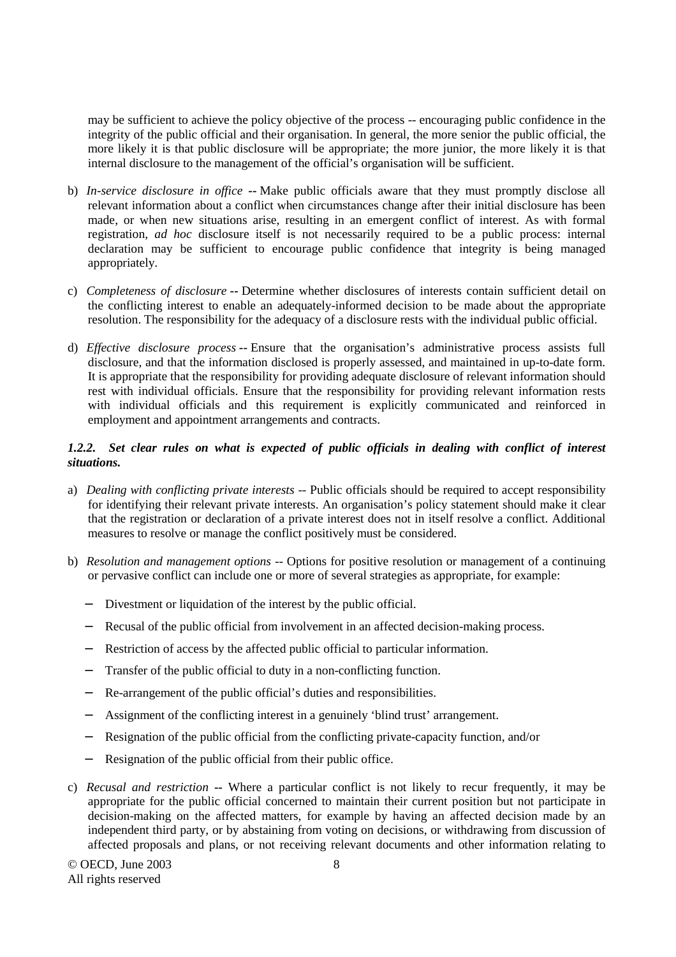may be sufficient to achieve the policy objective of the process -- encouraging public confidence in the integrity of the public official and their organisation. In general, the more senior the public official, the more likely it is that public disclosure will be appropriate; the more junior, the more likely it is that internal disclosure to the management of the official's organisation will be sufficient.

- b) *In-service disclosure in office* **--** Make public officials aware that they must promptly disclose all relevant information about a conflict when circumstances change after their initial disclosure has been made, or when new situations arise, resulting in an emergent conflict of interest. As with formal registration, *ad hoc* disclosure itself is not necessarily required to be a public process: internal declaration may be sufficient to encourage public confidence that integrity is being managed appropriately.
- c) *Completeness of disclosure* **--** Determine whether disclosures of interests contain sufficient detail on the conflicting interest to enable an adequately-informed decision to be made about the appropriate resolution. The responsibility for the adequacy of a disclosure rests with the individual public official.
- d) *Effective disclosure process* **--** Ensure that the organisation's administrative process assists full disclosure, and that the information disclosed is properly assessed, and maintained in up-to-date form. It is appropriate that the responsibility for providing adequate disclosure of relevant information should rest with individual officials. Ensure that the responsibility for providing relevant information rests with individual officials and this requirement is explicitly communicated and reinforced in employment and appointment arrangements and contracts.

## *1.2.2. Set clear rules on what is expected of public officials in dealing with conflict of interest situations.*

- a) *Dealing with conflicting private interests* -- Public officials should be required to accept responsibility for identifying their relevant private interests. An organisation's policy statement should make it clear that the registration or declaration of a private interest does not in itself resolve a conflict. Additional measures to resolve or manage the conflict positively must be considered.
- b) *Resolution and management options* -- Options for positive resolution or management of a continuing or pervasive conflict can include one or more of several strategies as appropriate, for example:
	- − Divestment or liquidation of the interest by the public official.
	- − Recusal of the public official from involvement in an affected decision-making process.
	- Restriction of access by the affected public official to particular information.
	- − Transfer of the public official to duty in a non-conflicting function.
	- − Re-arrangement of the public official's duties and responsibilities.
	- − Assignment of the conflicting interest in a genuinely 'blind trust' arrangement.
	- − Resignation of the public official from the conflicting private-capacity function, and/or
	- − Resignation of the public official from their public office.
- c) *Recusal and restriction* **--** Where a particular conflict is not likely to recur frequently, it may be appropriate for the public official concerned to maintain their current position but not participate in decision-making on the affected matters, for example by having an affected decision made by an independent third party, or by abstaining from voting on decisions, or withdrawing from discussion of affected proposals and plans, or not receiving relevant documents and other information relating to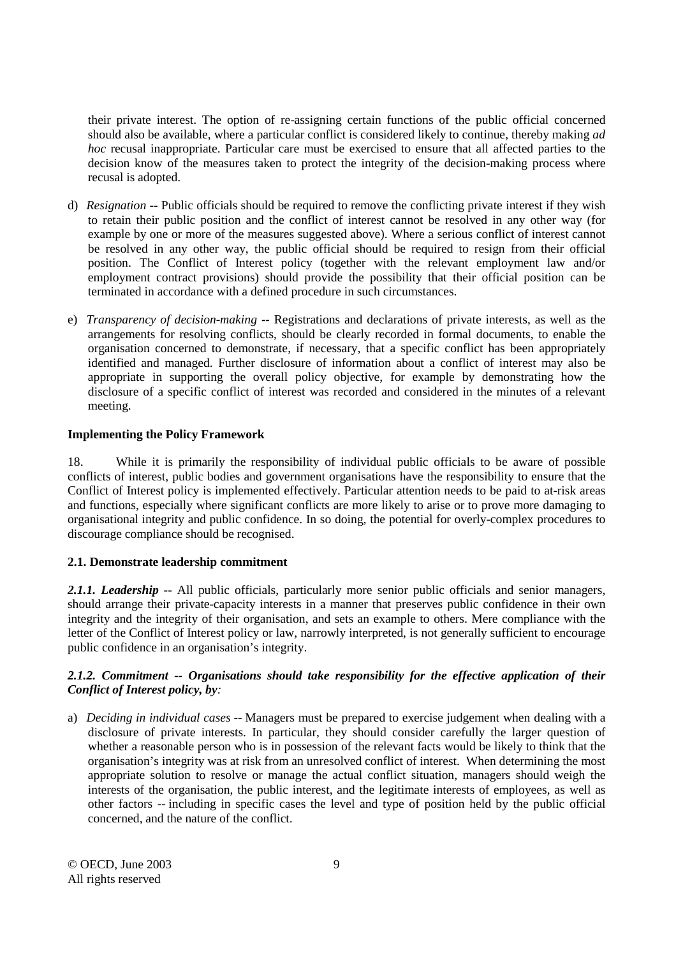their private interest. The option of re-assigning certain functions of the public official concerned should also be available, where a particular conflict is considered likely to continue, thereby making *ad hoc* recusal inappropriate. Particular care must be exercised to ensure that all affected parties to the decision know of the measures taken to protect the integrity of the decision-making process where recusal is adopted.

- d) *Resignation --* Public officials should be required to remove the conflicting private interest if they wish to retain their public position and the conflict of interest cannot be resolved in any other way (for example by one or more of the measures suggested above). Where a serious conflict of interest cannot be resolved in any other way, the public official should be required to resign from their official position. The Conflict of Interest policy (together with the relevant employment law and/or employment contract provisions) should provide the possibility that their official position can be terminated in accordance with a defined procedure in such circumstances.
- e) *Transparency of decision-making* **--** Registrations and declarations of private interests, as well as the arrangements for resolving conflicts, should be clearly recorded in formal documents, to enable the organisation concerned to demonstrate, if necessary, that a specific conflict has been appropriately identified and managed. Further disclosure of information about a conflict of interest may also be appropriate in supporting the overall policy objective, for example by demonstrating how the disclosure of a specific conflict of interest was recorded and considered in the minutes of a relevant meeting.

## **Implementing the Policy Framework**

18. While it is primarily the responsibility of individual public officials to be aware of possible conflicts of interest, public bodies and government organisations have the responsibility to ensure that the Conflict of Interest policy is implemented effectively. Particular attention needs to be paid to at-risk areas and functions, especially where significant conflicts are more likely to arise or to prove more damaging to organisational integrity and public confidence. In so doing, the potential for overly-complex procedures to discourage compliance should be recognised.

# **2.1. Demonstrate leadership commitment**

*2.1.1. Leadership* **--** All public officials, particularly more senior public officials and senior managers, should arrange their private-capacity interests in a manner that preserves public confidence in their own integrity and the integrity of their organisation, and sets an example to others. Mere compliance with the letter of the Conflict of Interest policy or law, narrowly interpreted, is not generally sufficient to encourage public confidence in an organisation's integrity.

## *2.1.2. Commitment -- Organisations should take responsibility for the effective application of their Conflict of Interest policy, by:*

a) *Deciding in individual cases* -- Managers must be prepared to exercise judgement when dealing with a disclosure of private interests. In particular, they should consider carefully the larger question of whether a reasonable person who is in possession of the relevant facts would be likely to think that the organisation's integrity was at risk from an unresolved conflict of interest. When determining the most appropriate solution to resolve or manage the actual conflict situation, managers should weigh the interests of the organisation, the public interest, and the legitimate interests of employees, as well as other factors -- including in specific cases the level and type of position held by the public official concerned, and the nature of the conflict.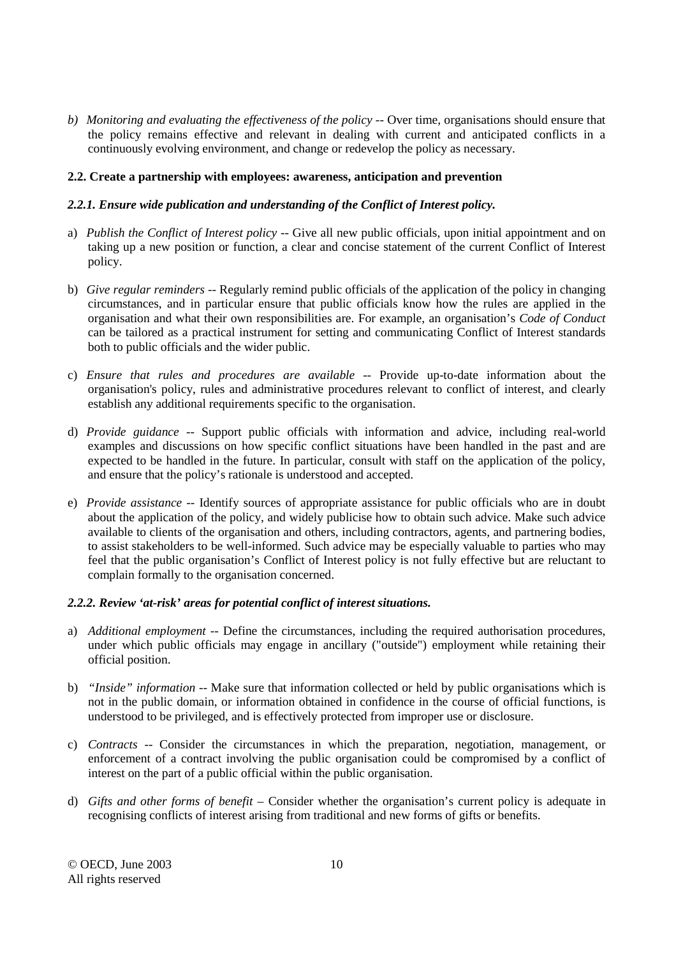*b) Monitoring and evaluating the effectiveness of the policy --* Over time, organisations should ensure that the policy remains effective and relevant in dealing with current and anticipated conflicts in a continuously evolving environment, and change or redevelop the policy as necessary.

#### **2.2. Create a partnership with employees: awareness, anticipation and prevention**

### *2.2.1. Ensure wide publication and understanding of the Conflict of Interest policy.*

- a) *Publish the Conflict of Interest policy* -- Give all new public officials, upon initial appointment and on taking up a new position or function, a clear and concise statement of the current Conflict of Interest policy.
- b) *Give regular reminders* -- Regularly remind public officials of the application of the policy in changing circumstances, and in particular ensure that public officials know how the rules are applied in the organisation and what their own responsibilities are. For example, an organisation's *Code of Conduct* can be tailored as a practical instrument for setting and communicating Conflict of Interest standards both to public officials and the wider public.
- c) *Ensure that rules and procedures are available* -- Provide up-to-date information about the organisation's policy, rules and administrative procedures relevant to conflict of interest, and clearly establish any additional requirements specific to the organisation.
- d) *Provide guidance* -- Support public officials with information and advice, including real-world examples and discussions on how specific conflict situations have been handled in the past and are expected to be handled in the future. In particular, consult with staff on the application of the policy, and ensure that the policy's rationale is understood and accepted.
- e) *Provide assistance* -- Identify sources of appropriate assistance for public officials who are in doubt about the application of the policy, and widely publicise how to obtain such advice. Make such advice available to clients of the organisation and others, including contractors, agents, and partnering bodies, to assist stakeholders to be well-informed. Such advice may be especially valuable to parties who may feel that the public organisation's Conflict of Interest policy is not fully effective but are reluctant to complain formally to the organisation concerned.

### *2.2.2. Review 'at-risk' areas for potential conflict of interest situations.*

- a) *Additional employment* -- Define the circumstances, including the required authorisation procedures, under which public officials may engage in ancillary ("outside") employment while retaining their official position.
- b) *"Inside" information* -- Make sure that information collected or held by public organisations which is not in the public domain, or information obtained in confidence in the course of official functions, is understood to be privileged, and is effectively protected from improper use or disclosure.
- c) *Contracts* -- Consider the circumstances in which the preparation, negotiation, management, or enforcement of a contract involving the public organisation could be compromised by a conflict of interest on the part of a public official within the public organisation.
- d) *Gifts and other forms of benefit* Consider whether the organisation's current policy is adequate in recognising conflicts of interest arising from traditional and new forms of gifts or benefits.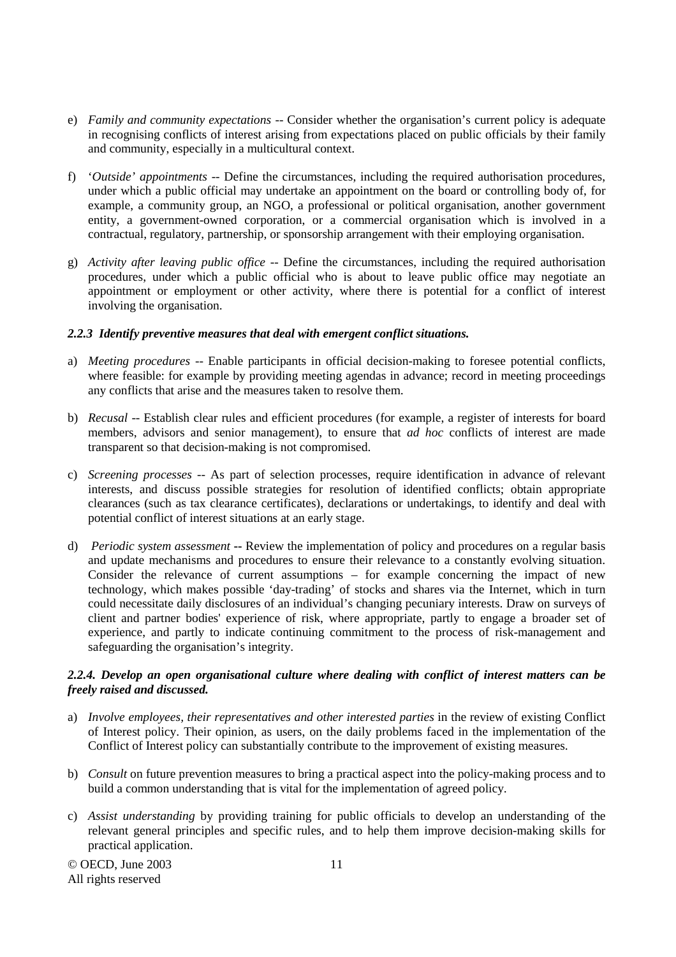- e) *Family and community expectations* -- Consider whether the organisation's current policy is adequate in recognising conflicts of interest arising from expectations placed on public officials by their family and community, especially in a multicultural context.
- f) '*Outside' appointments* -- Define the circumstances, including the required authorisation procedures, under which a public official may undertake an appointment on the board or controlling body of, for example, a community group, an NGO, a professional or political organisation, another government entity, a government-owned corporation, or a commercial organisation which is involved in a contractual, regulatory, partnership, or sponsorship arrangement with their employing organisation.
- g) *Activity after leaving public office* -- Define the circumstances, including the required authorisation procedures, under which a public official who is about to leave public office may negotiate an appointment or employment or other activity, where there is potential for a conflict of interest involving the organisation.

#### *2.2.3 Identify preventive measures that deal with emergent conflict situations.*

- a) *Meeting procedures* -- Enable participants in official decision-making to foresee potential conflicts, where feasible: for example by providing meeting agendas in advance; record in meeting proceedings any conflicts that arise and the measures taken to resolve them.
- b) *Recusal* -- Establish clear rules and efficient procedures (for example, a register of interests for board members, advisors and senior management), to ensure that *ad hoc* conflicts of interest are made transparent so that decision-making is not compromised.
- c) *Screening processes* -- As part of selection processes, require identification in advance of relevant interests, and discuss possible strategies for resolution of identified conflicts; obtain appropriate clearances (such as tax clearance certificates), declarations or undertakings, to identify and deal with potential conflict of interest situations at an early stage.
- d) *Periodic system assessment* **--** Review the implementation of policy and procedures on a regular basis and update mechanisms and procedures to ensure their relevance to a constantly evolving situation. Consider the relevance of current assumptions – for example concerning the impact of new technology, which makes possible 'day-trading' of stocks and shares via the Internet, which in turn could necessitate daily disclosures of an individual's changing pecuniary interests. Draw on surveys of client and partner bodies' experience of risk, where appropriate, partly to engage a broader set of experience, and partly to indicate continuing commitment to the process of risk-management and safeguarding the organisation's integrity.

#### *2.2.4. Develop an open organisational culture where dealing with conflict of interest matters can be freely raised and discussed.*

- a) *Involve employees, their representatives and other interested parties* in the review of existing Conflict of Interest policy. Their opinion, as users, on the daily problems faced in the implementation of the Conflict of Interest policy can substantially contribute to the improvement of existing measures.
- b) *Consult* on future prevention measures to bring a practical aspect into the policy-making process and to build a common understanding that is vital for the implementation of agreed policy.
- c) *Assist understanding* by providing training for public officials to develop an understanding of the relevant general principles and specific rules, and to help them improve decision-making skills for practical application.

© OECD, June 2003 All rights reserved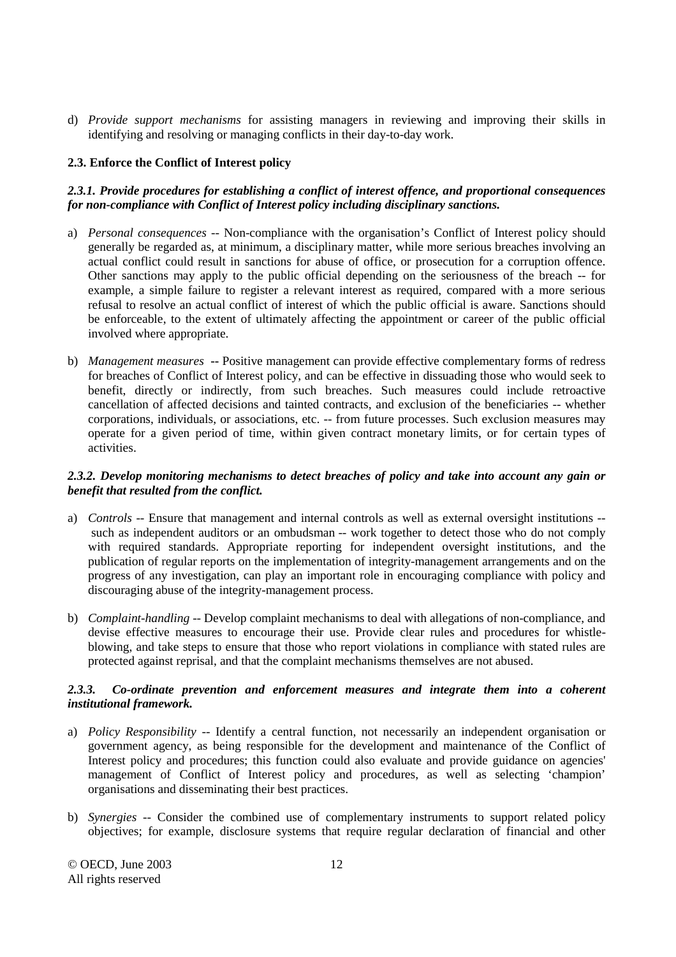d) *Provide support mechanisms* for assisting managers in reviewing and improving their skills in identifying and resolving or managing conflicts in their day-to-day work.

## **2.3. Enforce the Conflict of Interest policy**

### *2.3.1. Provide procedures for establishing a conflict of interest offence, and proportional consequences for non-compliance with Conflict of Interest policy including disciplinary sanctions.*

- a) *Personal consequences* -- Non-compliance with the organisation's Conflict of Interest policy should generally be regarded as, at minimum, a disciplinary matter, while more serious breaches involving an actual conflict could result in sanctions for abuse of office, or prosecution for a corruption offence. Other sanctions may apply to the public official depending on the seriousness of the breach -- for example, a simple failure to register a relevant interest as required, compared with a more serious refusal to resolve an actual conflict of interest of which the public official is aware. Sanctions should be enforceable, to the extent of ultimately affecting the appointment or career of the public official involved where appropriate.
- b) *Management measures* **--** Positive management can provide effective complementary forms of redress for breaches of Conflict of Interest policy, and can be effective in dissuading those who would seek to benefit, directly or indirectly, from such breaches. Such measures could include retroactive cancellation of affected decisions and tainted contracts, and exclusion of the beneficiaries -- whether corporations, individuals, or associations, etc. -- from future processes. Such exclusion measures may operate for a given period of time, within given contract monetary limits, or for certain types of activities.

## *2.3.2. Develop monitoring mechanisms to detect breaches of policy and take into account any gain or benefit that resulted from the conflict.*

- a) *Controls* -- Ensure that management and internal controls as well as external oversight institutions such as independent auditors or an ombudsman -- work together to detect those who do not comply with required standards. Appropriate reporting for independent oversight institutions, and the publication of regular reports on the implementation of integrity-management arrangements and on the progress of any investigation, can play an important role in encouraging compliance with policy and discouraging abuse of the integrity-management process.
- b) *Complaint-handling* -- Develop complaint mechanisms to deal with allegations of non-compliance, and devise effective measures to encourage their use. Provide clear rules and procedures for whistleblowing, and take steps to ensure that those who report violations in compliance with stated rules are protected against reprisal, and that the complaint mechanisms themselves are not abused.

### 2.3.3. Co-ordinate prevention and enforcement measures and integrate them into a coherent *institutional framework.*

- a) *Policy Responsibility* -- Identify a central function, not necessarily an independent organisation or government agency, as being responsible for the development and maintenance of the Conflict of Interest policy and procedures; this function could also evaluate and provide guidance on agencies' management of Conflict of Interest policy and procedures, as well as selecting 'champion' organisations and disseminating their best practices.
- b) *Synergies* -- Consider the combined use of complementary instruments to support related policy objectives; for example, disclosure systems that require regular declaration of financial and other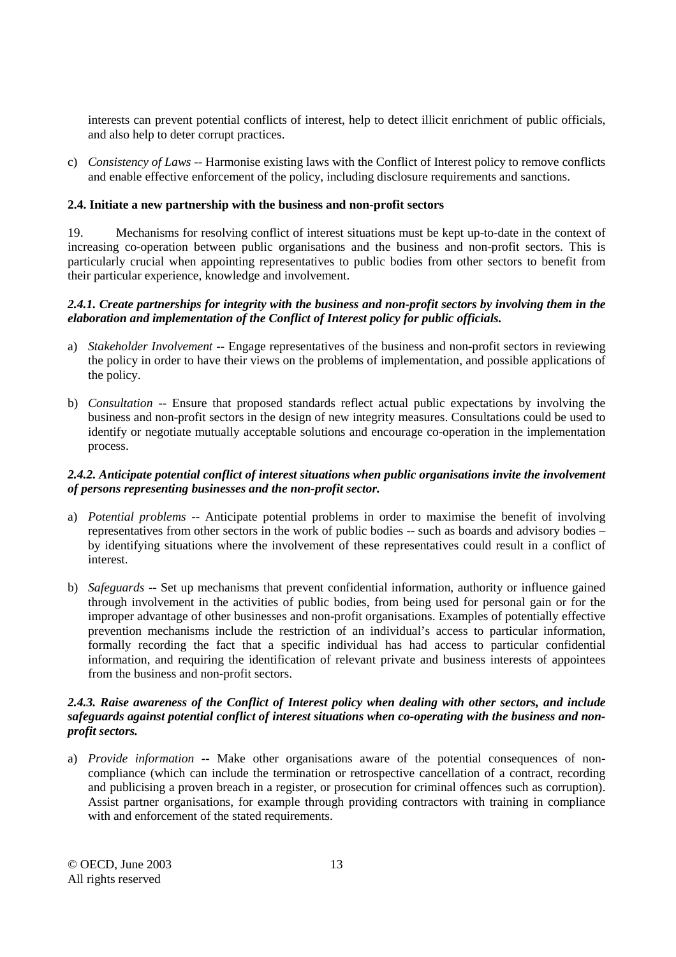interests can prevent potential conflicts of interest, help to detect illicit enrichment of public officials, and also help to deter corrupt practices.

c) *Consistency of Laws* -- Harmonise existing laws with the Conflict of Interest policy to remove conflicts and enable effective enforcement of the policy, including disclosure requirements and sanctions.

#### **2.4. Initiate a new partnership with the business and non-profit sectors**

19. Mechanisms for resolving conflict of interest situations must be kept up-to-date in the context of increasing co-operation between public organisations and the business and non-profit sectors. This is particularly crucial when appointing representatives to public bodies from other sectors to benefit from their particular experience, knowledge and involvement.

#### *2.4.1. Create partnerships for integrity with the business and non-profit sectors by involving them in the elaboration and implementation of the Conflict of Interest policy for public officials.*

- a) *Stakeholder Involvement* -- Engage representatives of the business and non-profit sectors in reviewing the policy in order to have their views on the problems of implementation, and possible applications of the policy.
- b) *Consultation* -- Ensure that proposed standards reflect actual public expectations by involving the business and non-profit sectors in the design of new integrity measures. Consultations could be used to identify or negotiate mutually acceptable solutions and encourage co-operation in the implementation process.

#### *2.4.2. Anticipate potential conflict of interest situations when public organisations invite the involvement of persons representing businesses and the non-profit sector.*

- a) *Potential problems* -- Anticipate potential problems in order to maximise the benefit of involving representatives from other sectors in the work of public bodies -- such as boards and advisory bodies – by identifying situations where the involvement of these representatives could result in a conflict of interest.
- b) *Safeguards* -- Set up mechanisms that prevent confidential information, authority or influence gained through involvement in the activities of public bodies, from being used for personal gain or for the improper advantage of other businesses and non-profit organisations. Examples of potentially effective prevention mechanisms include the restriction of an individual's access to particular information, formally recording the fact that a specific individual has had access to particular confidential information, and requiring the identification of relevant private and business interests of appointees from the business and non-profit sectors.

### *2.4.3. Raise awareness of the Conflict of Interest policy when dealing with other sectors, and include safeguards against potential conflict of interest situations when co-operating with the business and nonprofit sectors.*

a) *Provide information* **--** Make other organisations aware of the potential consequences of noncompliance (which can include the termination or retrospective cancellation of a contract, recording and publicising a proven breach in a register, or prosecution for criminal offences such as corruption). Assist partner organisations, for example through providing contractors with training in compliance with and enforcement of the stated requirements.